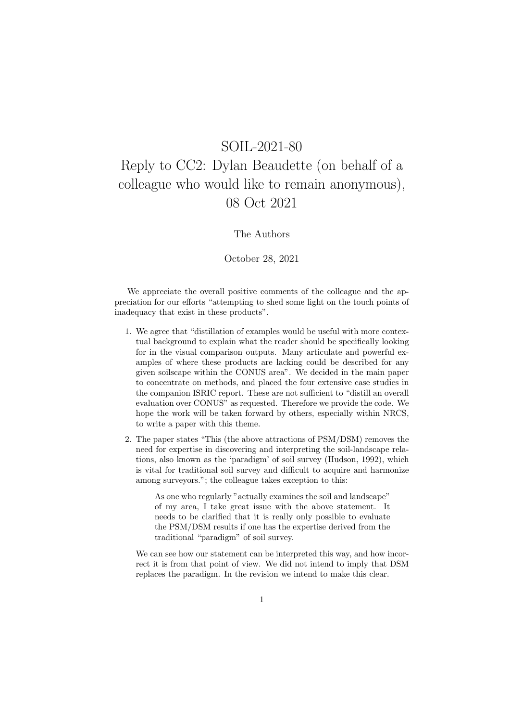## SOIL-2021-80

## Reply to CC2: Dylan Beaudette (on behalf of a colleague who would like to remain anonymous), 08 Oct 2021

## The Authors

## October 28, 2021

We appreciate the overall positive comments of the colleague and the appreciation for our efforts "attempting to shed some light on the touch points of inadequacy that exist in these products".

- 1. We agree that "distillation of examples would be useful with more contextual background to explain what the reader should be specifically looking for in the visual comparison outputs. Many articulate and powerful examples of where these products are lacking could be described for any given soilscape within the CONUS area". We decided in the main paper to concentrate on methods, and placed the four extensive case studies in the companion ISRIC report. These are not sufficient to "distill an overall evaluation over CONUS" as requested. Therefore we provide the code. We hope the work will be taken forward by others, especially within NRCS, to write a paper with this theme.
- 2. The paper states "This (the above attractions of PSM/DSM) removes the need for expertise in discovering and interpreting the soil-landscape relations, also known as the 'paradigm' of soil survey (Hudson, 1992), which is vital for traditional soil survey and difficult to acquire and harmonize among surveyors."; the colleague takes exception to this:

As one who regularly "actually examines the soil and landscape" of my area, I take great issue with the above statement. It needs to be clarified that it is really only possible to evaluate the PSM/DSM results if one has the expertise derived from the traditional "paradigm" of soil survey.

We can see how our statement can be interpreted this way, and how incorrect it is from that point of view. We did not intend to imply that DSM replaces the paradigm. In the revision we intend to make this clear.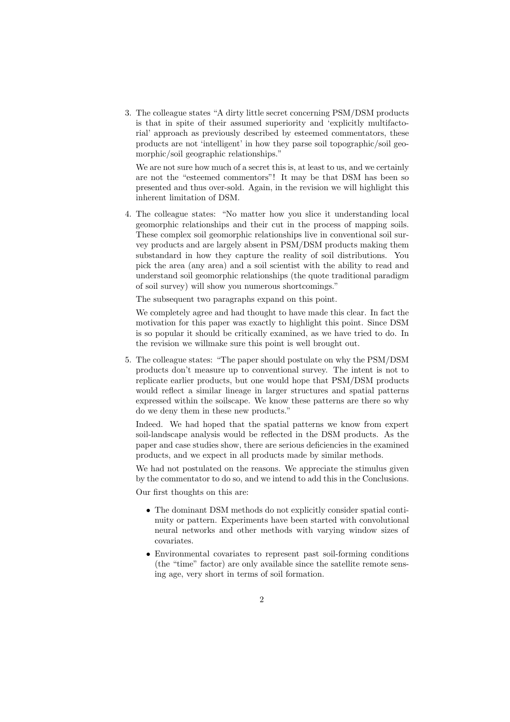3. The colleague states "A dirty little secret concerning PSM/DSM products is that in spite of their assumed superiority and 'explicitly multifactorial' approach as previously described by esteemed commentators, these products are not 'intelligent' in how they parse soil topographic/soil geomorphic/soil geographic relationships."

We are not sure how much of a secret this is, at least to us, and we certainly are not the "esteemed commentors"! It may be that DSM has been so presented and thus over-sold. Again, in the revision we will highlight this inherent limitation of DSM.

4. The colleague states: "No matter how you slice it understanding local geomorphic relationships and their cut in the process of mapping soils. These complex soil geomorphic relationships live in conventional soil survey products and are largely absent in PSM/DSM products making them substandard in how they capture the reality of soil distributions. You pick the area (any area) and a soil scientist with the ability to read and understand soil geomorphic relationships (the quote traditional paradigm of soil survey) will show you numerous shortcomings."

The subsequent two paragraphs expand on this point.

We completely agree and had thought to have made this clear. In fact the motivation for this paper was exactly to highlight this point. Since DSM is so popular it should be critically examined, as we have tried to do. In the revision we willmake sure this point is well brought out.

5. The colleague states: "The paper should postulate on why the PSM/DSM products don't measure up to conventional survey. The intent is not to replicate earlier products, but one would hope that PSM/DSM products would reflect a similar lineage in larger structures and spatial patterns expressed within the soilscape. We know these patterns are there so why do we deny them in these new products."

Indeed. We had hoped that the spatial patterns we know from expert soil-landscape analysis would be reflected in the DSM products. As the paper and case studies show, there are serious deficiencies in the examined products, and we expect in all products made by similar methods.

We had not postulated on the reasons. We appreciate the stimulus given by the commentator to do so, and we intend to add this in the Conclusions.

Our first thoughts on this are:

- The dominant DSM methods do not explicitly consider spatial continuity or pattern. Experiments have been started with convolutional neural networks and other methods with varying window sizes of covariates.
- Environmental covariates to represent past soil-forming conditions (the "time" factor) are only available since the satellite remote sensing age, very short in terms of soil formation.